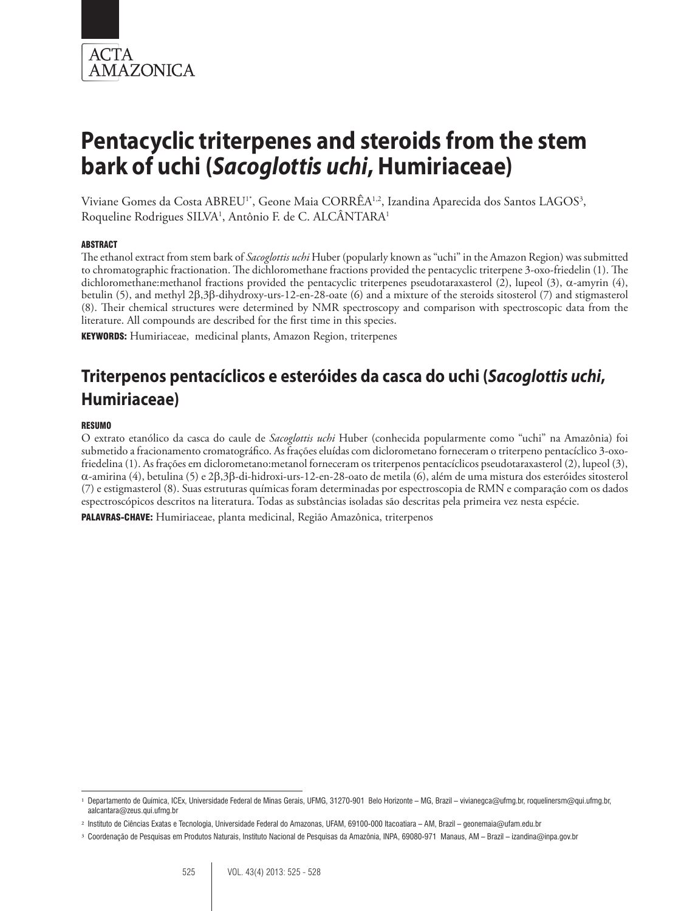

# **Pentacyclic triterpenes and steroids from the stem bark of uchi (***Sacoglottis uchi***, Humiriaceae)**

Viviane Gomes da Costa ABREU<sup>1</sup>\*, Geone Maia CORRËA<sup>1,2</sup>, Izandina Aparecida dos Santos LAGOS<sup>3</sup>, Roqueline Rodrigues SILVA1 , Antônio F. de C. ALCÂNTARA1

#### ABSTRACT

The ethanol extract from stem bark of *Sacoglottis uchi* Huber (popularly known as "uchi" in the Amazon Region) was submitted to chromatographic fractionation. The dichloromethane fractions provided the pentacyclic triterpene 3-oxo-friedelin (1). The dichloromethane:methanol fractions provided the pentacyclic triterpenes pseudotaraxasterol (2), lupeol (3), α-amyrin (4), betulin (5), and methyl 2β,3β-dihydroxy-urs-12-en-28-oate (6) and a mixture of the steroids sitosterol (7) and stigmasterol (8). Their chemical structures were determined by NMR spectroscopy and comparison with spectroscopic data from the literature. All compounds are described for the first time in this species.

KEYWORDS: Humiriaceae, medicinal plants, Amazon Region, triterpenes

# **Triterpenos pentacíclicos e esteróides da casca do uchi (***Sacoglottis uchi***, Humiriaceae)**

#### RESUMO

O extrato etanólico da casca do caule de *Sacoglottis uchi* Huber (conhecida popularmente como "uchi" na Amazônia) foi submetido a fracionamento cromatográfico. As frações eluídas com diclorometano forneceram o triterpeno pentacíclico 3-oxofriedelina (1). As frações em diclorometano:metanol forneceram os triterpenos pentacíclicos pseudotaraxasterol (2), lupeol (3), α-amirina (4), betulina (5) e 2β,3β-di-hidroxi-urs-12-en-28-oato de metila (6), além de uma mistura dos esteróides sitosterol (7) e estigmasterol (8). Suas estruturas químicas foram determinadas por espectroscopia de RMN e comparação com os dados espectroscópicos descritos na literatura. Todas as substâncias isoladas são descritas pela primeira vez nesta espécie.

PALAVRAS-CHAVE: Humiriaceae, planta medicinal, Região Amazônica, triterpenos

<sup>1</sup> Departamento de Química, ICEx, Universidade Federal de Minas Gerais, UFMG, 31270-901 Belo Horizonte – MG, Brazil – vivianegca@ufmg.br, roquelinersm@qui.ufmg.br, aalcantara@zeus.qui.ufmg.br

<sup>2</sup> Instituto de Ciências Exatas e Tecnologia, Universidade Federal do Amazonas, UFAM, 69100-000 Itacoatiara – AM, Brazil – geonemaia@ufam.edu.br

<sup>3</sup> Coordenação de Pesquisas em Produtos Naturais, Instituto Nacional de Pesquisas da Amazônia, INPA, 69080-971 Manaus, AM – Brazil – izandina@inpa.gov.br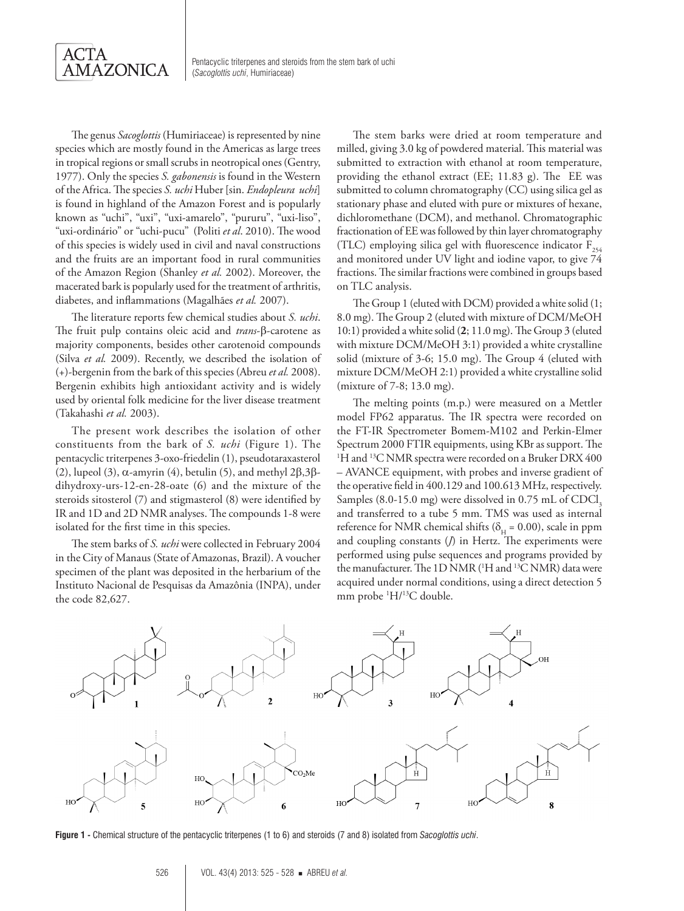

The genus *Sacoglottis* (Humiriaceae) is represented by nine species which are mostly found in the Americas as large trees in tropical regions or small scrubs in neotropical ones (Gentry, 1977). Only the species *S. gabonensis* is found in the Western of the Africa. The species *S. uchi* Huber [sin. *Endopleura uchi*] is found in highland of the Amazon Forest and is popularly known as "uchi", "uxi", "uxi-amarelo", "pururu", "uxi-liso", "uxi-ordinário" or "uchi-pucu" (Politi *et al*. 2010). The wood of this species is widely used in civil and naval constructions and the fruits are an important food in rural communities of the Amazon Region (Shanley *et al.* 2002). Moreover, the macerated bark is popularly used for the treatment of arthritis, diabetes, and inflammations (Magalhães *et al.* 2007).

The literature reports few chemical studies about *S. uchi*. The fruit pulp contains oleic acid and *trans*-β-carotene as majority components, besides other carotenoid compounds (Silva *et al.* 2009). Recently, we described the isolation of (+)-bergenin from the bark of this species (Abreu *et al.* 2008). Bergenin exhibits high antioxidant activity and is widely used by oriental folk medicine for the liver disease treatment (Takahashi *et al.* 2003).

The present work describes the isolation of other constituents from the bark of *S. uchi* (Figure 1). The pentacyclic triterpenes 3-oxo-friedelin (1), pseudotaraxasterol (2), lupeol (3), α-amyrin (4), betulin (5), and methyl  $2β,3β$ dihydroxy-urs-12-en-28-oate (6) and the mixture of the steroids sitosterol (7) and stigmasterol (8) were identified by IR and 1D and 2D NMR analyses. The compounds 1-8 were isolated for the first time in this species.

The stem barks of *S. uchi* were collected in February 2004 in the City of Manaus (State of Amazonas, Brazil). A voucher specimen of the plant was deposited in the herbarium of the Instituto Nacional de Pesquisas da Amazônia (INPA), under the code 82,627.

The stem barks were dried at room temperature and milled, giving 3.0 kg of powdered material. This material was submitted to extraction with ethanol at room temperature, providing the ethanol extract (EE; 11.83 g). The EE was submitted to column chromatography (CC) using silica gel as stationary phase and eluted with pure or mixtures of hexane, dichloromethane (DCM), and methanol. Chromatographic fractionation of EE was followed by thin layer chromatography (TLC) employing silica gel with fluorescence indicator  $F_{254}$ and monitored under UV light and iodine vapor, to give 74 fractions. The similar fractions were combined in groups based on TLC analysis.

The Group 1 (eluted with DCM) provided a white solid (1; 8.0 mg). The Group 2 (eluted with mixture of DCM/MeOH 10:1) provided a white solid (**2**; 11.0 mg). The Group 3 (eluted with mixture DCM/MeOH 3:1) provided a white crystalline solid (mixture of 3-6; 15.0 mg). The Group 4 (eluted with mixture DCM/MeOH 2:1) provided a white crystalline solid (mixture of 7-8; 13.0 mg).

The melting points (m.p.) were measured on a Mettler model FP62 apparatus. The IR spectra were recorded on the FT-IR Spectrometer Bomem-M102 and Perkin-Elmer Spectrum 2000 FTIR equipments, using KBr as support. The <sup>1</sup>H and <sup>13</sup>C NMR spectra were recorded on a Bruker DRX 400 – AVANCE equipment, with probes and inverse gradient of the operative field in 400.129 and 100.613 MHz, respectively. Samples (8.0-15.0 mg) were dissolved in 0.75 mL of  $CDCI<sub>3</sub>$ and transferred to a tube 5 mm. TMS was used as internal reference for NMR chemical shifts ( $\delta_H$  = 0.00), scale in ppm and coupling constants (*J*) in Hertz. The experiments were performed using pulse sequences and programs provided by the manufacturer. The 1D NMR ( $^1$ H and  $^13$ C NMR) data were acquired under normal conditions, using a direct detection 5 mm probe  $\rm ^1H/^{13}C$  double.



**Figure 1 -** Chemical structure of the pentacyclic triterpenes (1 to 6) and steroids (7 and 8) isolated from *Sacoglottis uchi*.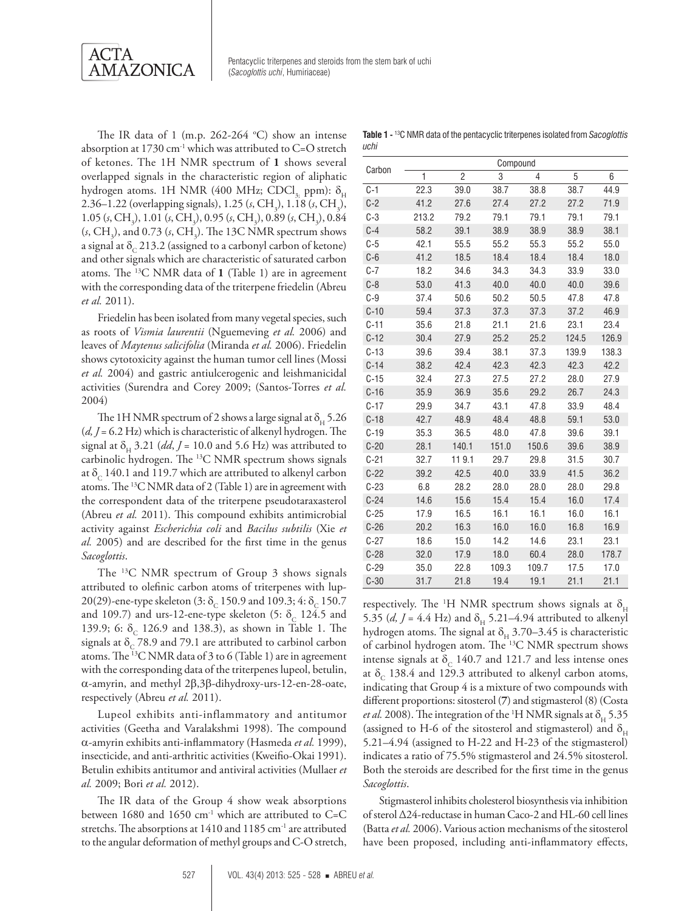

The IR data of 1 (m.p. 262-264  $^{\circ}$ C) show an intense absorption at 1730 cm-1 which was attributed to C=O stretch of ketones. The 1H NMR spectrum of **1** shows several overlapped signals in the characteristic region of aliphatic hydrogen atoms. 1H NMR (400 MHz; CDCl<sub>3</sub>, ppm):  $\delta$ <sub>H</sub> 2.36–1.22 (overlapping signals), 1.25 (*s*, CH<sub>3</sub>), 1.18 (*s*, CH<sub>3</sub>), 1.05 (*s*, CH<sub>3</sub>), 1.01 (*s*, CH<sub>3</sub>), 0.95 (*s*, CH<sub>3</sub>), 0.89 (*s*, CH<sub>3</sub>), 0.84  $(s, CH_3)$ , and 0.73  $(s, CH_3)$ . The 13C NMR spectrum shows a signal at  $\delta_c$  213.2 (assigned to a carbonyl carbon of ketone) and other signals which are characteristic of saturated carbon atoms. The 13C NMR data of **1** (Table 1) are in agreement with the corresponding data of the triterpene friedelin (Abreu *et al.* 2011).

Friedelin has been isolated from many vegetal species, such as roots of *Vismia laurentii* (Nguemeving *et al.* 2006) and leaves of *Maytenus salicifolia* (Miranda *et al.* 2006). Friedelin shows cytotoxicity against the human tumor cell lines (Mossi *et al.* 2004) and gastric antiulcerogenic and leishmanicidal activities (Surendra and Corey 2009; (Santos-Torres *et al.* 2004)

The 1H NMR spectrum of 2 shows a large signal at  $\delta_{\rm H}$  5.26 (*d, J* = 6.2 Hz) which is characteristic of alkenyl hydrogen. The signal at  $\delta_{\rm H}$  3.21 (*dd*, *J* = 10.0 and 5.6 Hz) was attributed to carbinolic hydrogen. The 13C NMR spectrum shows signals at  $\delta_c$  140.1 and 119.7 which are attributed to alkenyl carbon atoms. The  $^{13}$ C NMR data of 2 (Table 1) are in agreement with the correspondent data of the triterpene pseudotaraxasterol (Abreu *et al.* 2011). This compound exhibits antimicrobial activity against *Escherichia coli* and *Bacilus subtilis* (Xie *et al.* 2005) and are described for the first time in the genus *Sacoglottis*.

The 13C NMR spectrum of Group 3 shows signals attributed to olefinic carbon atoms of triterpenes with lup-20(29)-ene-type skeleton (3:  $\delta_c$  150.9 and 109.3; 4:  $\delta_c$  150.7 and 109.7) and urs-12-ene-type skeleton (5:  $\delta_c$  124.5 and 139.9; 6:  $\delta_c$  126.9 and 138.3), as shown in Table 1. The signals at  $\delta$ <sub>C</sub> 78.9 and 79.1 are attributed to carbinol carbon atoms. The 13C NMR data of 3 to 6 (Table 1) are in agreement with the corresponding data of the triterpenes lupeol, betulin, α-amyrin, and methyl 2β,3β-dihydroxy-urs-12-en-28-oate, respectively (Abreu *et al.* 2011).

Lupeol exhibits anti-inflammatory and antitumor activities (Geetha and Varalakshmi 1998). The compound α-amyrin exhibits anti-inflammatory (Hasmeda *et al.* 1999), insecticide, and anti-arthritic activities (Kweifio-Okai 1991). Betulin exhibits antitumor and antiviral activities (Mullaer *et al.* 2009; Bori *et al.* 2012).

The IR data of the Group 4 show weak absorptions between 1680 and 1650 cm<sup>-1</sup> which are attributed to C=C stretchs. The absorptions at 1410 and 1185 cm<sup>-1</sup> are attributed to the angular deformation of methyl groups and C-O stretch,

**Table 1 -** 13C NMR data of the pentacyclic triterpenes isolated from *Sacoglottis uchi*

| Carbon   | Compound |                |       |       |       |       |
|----------|----------|----------------|-------|-------|-------|-------|
|          | 1        | $\overline{c}$ | 3     | 4     | 5     | 6     |
| $C-1$    | 22.3     | 39.0           | 38.7  | 38.8  | 38.7  | 44.9  |
| $C-2$    | 41.2     | 27.6           | 27.4  | 27.2  | 27.2  | 71.9  |
| $C-3$    | 213.2    | 79.2           | 79.1  | 79.1  | 79.1  | 79.1  |
| $C-4$    | 58.2     | 39.1           | 38.9  | 38.9  | 38.9  | 38.1  |
| $C-5$    | 42.1     | 55.5           | 55.2  | 55.3  | 55.2  | 55.0  |
| $C-6$    | 41.2     | 18.5           | 18.4  | 18.4  | 18.4  | 18.0  |
| $C-7$    | 18.2     | 34.6           | 34.3  | 34.3  | 33.9  | 33.0  |
| $C-8$    | 53.0     | 41.3           | 40.0  | 40.0  | 40.0  | 39.6  |
| $C-9$    | 37.4     | 50.6           | 50.2  | 50.5  | 47.8  | 47.8  |
| $C-10$   | 59.4     | 37.3           | 37.3  | 37.3  | 37.2  | 46.9  |
| $C - 11$ | 35.6     | 21.8           | 21.1  | 21.6  | 23.1  | 23.4  |
| $C-12$   | 30.4     | 27.9           | 25.2  | 25.2  | 124.5 | 126.9 |
| $C-13$   | 39.6     | 39.4           | 38.1  | 37.3  | 139.9 | 138.3 |
| $C-14$   | 38.2     | 42.4           | 42.3  | 42.3  | 42.3  | 42.2  |
| $C-15$   | 32.4     | 27.3           | 27.5  | 27.2  | 28.0  | 27.9  |
| $C-16$   | 35.9     | 36.9           | 35.6  | 29.2  | 26.7  | 24.3  |
| $C-17$   | 29.9     | 34.7           | 43.1  | 47.8  | 33.9  | 48.4  |
| $C-18$   | 42.7     | 48.9           | 48.4  | 48.8  | 59.1  | 53.0  |
| $C-19$   | 35.3     | 36.5           | 48.0  | 47.8  | 39.6  | 39.1  |
| $C-20$   | 28.1     | 140.1          | 151.0 | 150.6 | 39.6  | 38.9  |
| $C-21$   | 32.7     | 119.1          | 29.7  | 29.8  | 31.5  | 30.7  |
| $C-22$   | 39.2     | 42.5           | 40.0  | 33.9  | 41.5  | 36.2  |
| $C-23$   | 6.8      | 28.2           | 28.0  | 28.0  | 28.0  | 29.8  |
| $C-24$   | 14.6     | 15.6           | 15.4  | 15.4  | 16.0  | 17.4  |
| $C-25$   | 17.9     | 16.5           | 16.1  | 16.1  | 16.0  | 16.1  |
| $C-26$   | 20.2     | 16.3           | 16.0  | 16.0  | 16.8  | 16.9  |
| $C-27$   | 18.6     | 15.0           | 14.2  | 14.6  | 23.1  | 23.1  |
| $C-28$   | 32.0     | 17.9           | 18.0  | 60.4  | 28.0  | 178.7 |
| $C-29$   | 35.0     | 22.8           | 109.3 | 109.7 | 17.5  | 17.0  |
| $C - 30$ | 31.7     | 21.8           | 19.4  | 19.1  | 21.1  | 21.1  |

respectively. The <sup>1</sup>H NMR spectrum shows signals at  $\delta_{\rm H}$ 5.35 (*d, J* = 4.4 Hz) and  $\delta$ <sub>H</sub> 5.21–4.94 attributed to alkenyl hydrogen atoms. The signal at  $\delta_H$  3.70–3.45 is characteristic of carbinol hydrogen atom. The 13C NMR spectrum shows intense signals at  $\delta_c$  140.7 and 121.7 and less intense ones at  $\delta_c$  138.4 and 129.3 attributed to alkenyl carbon atoms, indicating that Group 4 is a mixture of two compounds with different proportions: sitosterol (**7**) and stigmasterol (8) (Costa *et al.* 2008). The integration of the 'H NMR signals at  $\delta_{\rm H}$  5.35 (assigned to H-6 of the sitosterol and stigmasterol) and  $\delta_{\rm H}$ 5.21–4.94 (assigned to H-22 and H-23 of the stigmasterol) indicates a ratio of 75.5% stigmasterol and 24.5% sitosterol. Both the steroids are described for the first time in the genus *Sacoglottis*.

Stigmasterol inhibits cholesterol biosynthesis via inhibition of sterol Δ24-reductase in human Caco-2 and HL-60 cell lines (Batta *et al.* 2006). Various action mechanisms of the sitosterol have been proposed, including anti-inflammatory effects,